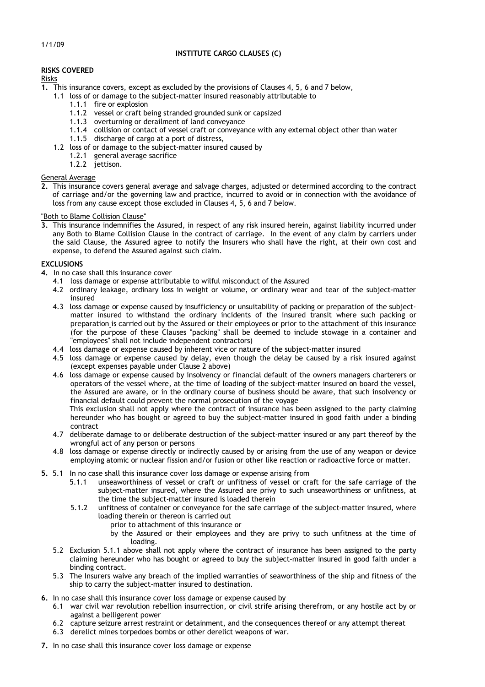## **RISKS COVERED**

# Risks

- **1.** This insurance covers, except as excluded by the provisions of Clauses 4, 5, 6 and 7 below,
	- 1.1 loss of or damage to the subject-matter insured reasonably attributable to
		- 1.1.1 fire or explosion
		- 1.1.2 vessel or craft being stranded grounded sunk or capsized
		- 1.1.3 overturning or derailment of land conveyance
		- 1.1.4 collision or contact of vessel craft or conveyance with any external object other than water
		- 1.1.5 discharge of cargo at a port of distress,
	- 1.2 loss of or damage to the subject-matter insured caused by
		- 1.2.1 general average sacrifice
			- 1.2.2 jettison.

### General Average

**2.** This insurance covers general average and salvage charges, adjusted or determined according to the contract of carriage and/or the governing law and practice, incurred to avoid or in connection with the avoidance of loss from any cause except those excluded in Clauses 4**,** 5, 6 and 7 below.

### "Both to Blame Collision Clause"

**3.** This insurance indemnifies the Assured, in respect of any risk insured herein, against liability incurred under any Both to Blame Collision Clause in the contract of carriage. In the event of any claim by carriers under the said Clause, the Assured agree to notify the Insurers who shall have the right, at their own cost and expense, to defend the Assured against such claim.

### **EXCLUSIONS**

- **4.** In no case shall this insurance cover
	- 4.1 loss damage or expense attributable to wilful misconduct of the Assured
	- 4.2 ordinary leakage, ordinary loss in weight or volume, or ordinary wear and tear of the subject-matter insured
	- 4.3 loss damage or expense caused by insufficiency or unsuitability of packing or preparation of the subjectmatter insured to withstand the ordinary incidents of the insured transit where such packing or preparation is carried out by the Assured or their employees or prior to the attachment of this insurance (for the purpose of these Clauses "packing" shall be deemed to include stowage in a container and "employees" shall not include independent contractors)
	- 4.4 loss damage or expense caused by inherent vice or nature of the subject-matter insured
	- 4.5 loss damage or expense caused by delay, even though the delay be caused by a risk insured against (except expenses payable under Clause 2 above)
	- 4.6 loss damage or expense caused by insolvency or financial default of the owners managers charterers or operators of the vessel where, at the time of loading of the subject-matter insured on board the vessel, the Assured are aware, or in the ordinary course of business should be aware, that such insolvency or financial default could prevent the normal prosecution of the voyage

This exclusion shall not apply where the contract of insurance has been assigned to the party claiming hereunder who has bought or agreed to buy the subject-matter insured in good faith under a binding contract

- 4.7 deliberate damage to or deliberate destruction of the subject-matter insured or any part thereof by the wrongful act of any person or persons
- 4.8 loss damage or expense directly or indirectly caused by or arising from the use of any weapon or device employing atomic or nuclear fission and/or fusion or other like reaction or radioactive force or matter.
- **5.** 5.1 In no case shall this insurance cover loss damage or expense arising from
	- 5.1.1 unseaworthiness of vessel or craft or unfitness of vessel or craft for the safe carriage of the subject-matter insured, where the Assured are privy to such unseaworthiness or unfitness, at the time the subject-matter insured is loaded therein
	- 5.1.2 unfitness of container or conveyance for the safe carriage of the subject-matter insured, where loading therein or thereon is carried out
		- prior to attachment of this insurance or
		- by the Assured or their employees and they are privy to such unfitness at the time of loading.
	- 5.2 Exclusion 5.1.1 above shall not apply where the contract of insurance has been assigned to the party claiming hereunder who has bought or agreed to buy the subject-matter insured in good faith under a binding contract.
	- 5.3 The Insurers waive any breach of the implied warranties of seaworthiness of the ship and fitness of the ship to carry the subject-matter insured to destination.
- **6.** In no case shall this insurance cover loss damage or expense caused by
	- 6.1 war civil war revolution rebellion insurrection, or civil strife arising therefrom, or any hostile act by or against a belligerent power
	- 6.2 capture seizure arrest restraint or detainment, and the consequences thereof or any attempt thereat
	- 6.3 derelict mines torpedoes bombs or other derelict weapons of war.
- **7.** In no case shall this insurance cover loss damage or expense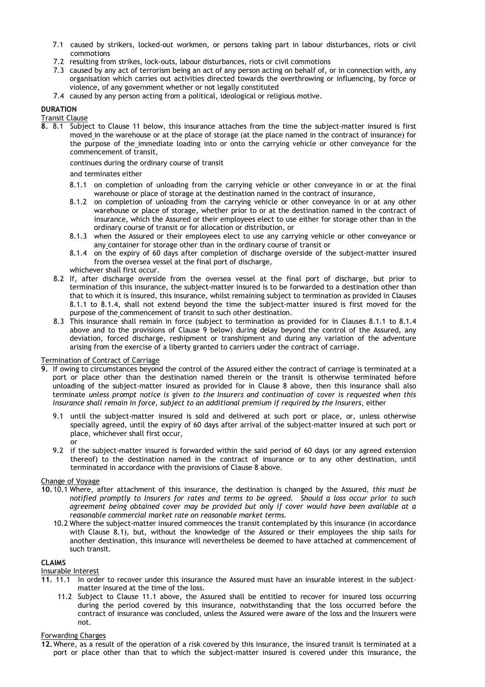- 7.1 caused by strikers, locked-out workmen, or persons taking part in labour disturbances, riots or civil commotions
- 7.2 resulting from strikes, lock-outs, labour disturbances, riots or civil commotions
- 7.3 caused by any act of terrorism being an act of any person acting on behalf of, or in connection with, any organisation which carries out activities directed towards the overthrowing or influencing, by force or violence, of any government whether or not legally constituted
- 7.4 caused by any person acting from a political, ideological or religious motive.

### **DURATION**

### Transit Clause

**8.** 8.1 Subject to Clause 11 below, this insurance attaches from the time the subject-matter insured is first moved in the warehouse or at the place of storage (at the place named in the contract of insurance) for the purpose of the immediate loading into or onto the carrying vehicle or other conveyance for the commencement of transit,

continues during the ordinary course of transit

## and terminates either

- 8.1.1 on completion of unloading from the carrying vehicle or other conveyance in or at the final warehouse or place of storage at the destination named in the contract of insurance,
- 8.1.2 on completion of unloading from the carrying vehicle or other conveyance in or at any other warehouse or place of storage, whether prior to or at the destination named in the contract of insurance, which the Assured or their employees elect to use either for storage other than in the ordinary course of transit or for allocation or distribution, or
- 8.1.3 when the Assured or their employees elect to use any carrying vehicle or other conveyance or any container for storage other than in the ordinary course of transit or
- 8.1.4 on the expiry of 60 days after completion of discharge overside of the subject-matter insured from the oversea vessel at the final port of discharge,
- whichever shall first occur.
- 8.2 If, after discharge overside from the oversea vessel at the final port of discharge, but prior to termination of this insurance, the subject-matter insured is to be forwarded to a destination other than that to which it is insured, this insurance, whilst remaining subject to termination as provided in Clauses 8.1.1 to 8.1.4, shall not extend beyond the time the subject-matter insured is first moved for the purpose of the commencement of transit to such other destination.
- 8.3 This insurance shall remain in force (subject to termination as provided for in Clauses 8.1.1 to 8.1.4 above and to the provisions of Clause 9 below) during delay beyond the control of the Assured, any deviation, forced discharge, reshipment or transhipment and during any variation of the adventure arising from the exercise of a liberty granted to carriers under the contract of carriage.

### Termination of Contract of Carriage

- **9.** If owing to circumstances beyond the control of the Assured either the contract of carriage is terminated at a port or place other than the destination named therein or the transit is otherwise terminated before unloading of the subject-matter insured as provided for in Clause 8 above, then this insurance shall also terminate *unless prompt notice is given to the Insurers and continuation of cover is requested when this insurance shall remain in force, subject to an additional premium if required by the Insurers*, either
	- 9.1 until the subject-matter insured is sold and delivered at such port or place, or, unless otherwise specially agreed, until the expiry of 60 days after arrival of the subject-matter insured at such port or place, whichever shall first occur, or
	- 9.2 if the subject-matter insured is forwarded within the said period of 60 days (or any agreed extension thereof) to the destination named in the contract of insurance or to any other destination, until terminated in accordance with the provisions of Clause 8 above.

## Change of Voyage

- **10.** 10.1 Where, after attachment of this insurance, the destination is changed by the Assured, *this must be notified promptly to Insurers for rates and terms to be agreed. Should a loss occur prior to such agreement being obtained cover may be provided but only if cover would have been available at a reasonable commercial market rate on reasonable market terms.*
	- 10.2 Where the subject-matter insured commences the transit contemplated by this insurance (in accordance with Clause 8.1), but, without the knowledge of the Assured or their employees the ship sails for another destination, this insurance will nevertheless be deemed to have attached at commencement of such transit.

### **CLAIMS**

### Insurable Interest

- **11.** 11.1 In order to recover under this insurance the Assured must have an insurable interest in the subjectmatter insured at the time of the loss.
	- 11.2 Subject to Clause 11.1 above, the Assured shall be entitled to recover for insured loss occurring during the period covered by this insurance, notwithstanding that the loss occurred before the contract of insurance was concluded, unless the Assured were aware of the loss and the Insurers were not.

### Forwarding Charges

**<sup>12.</sup>**Where, as a result of the operation of a risk covered by this insurance, the insured transit is terminated at a port or place other than that to which the subject-matter insured is covered under this insurance, the